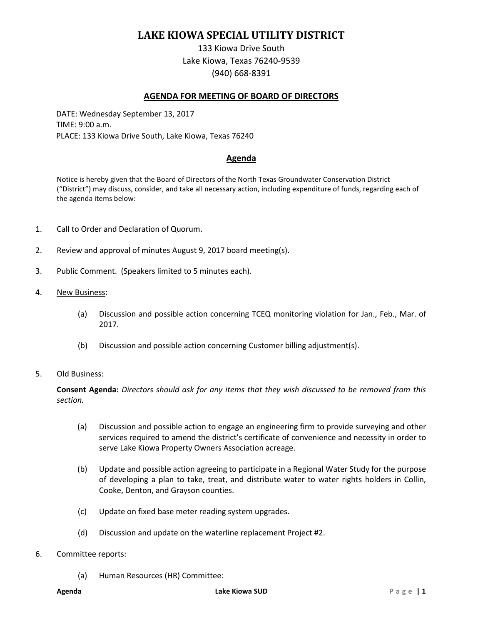# **LAKE KIOWA SPECIAL UTILITY DISTRICT**

133 Kiowa Drive South Lake Kiowa, Texas 76240-9539 (940) 668-8391

### **AGENDA FOR MEETING OF BOARD OF DIRECTORS**

DATE: Wednesday September 13, 2017 TIME: 9:00 a.m. PLACE: 133 Kiowa Drive South, Lake Kiowa, Texas 76240

## **Agenda**

Notice is hereby given that the Board of Directors of the North Texas Groundwater Conservation District ("District") may discuss, consider, and take all necessary action, including expenditure of funds, regarding each of the agenda items below:

- 1. Call to Order and Declaration of Quorum.
- 2. Review and approval of minutes August 9, 2017 board meeting(s).
- 3. Public Comment. (Speakers limited to 5 minutes each).
- 4. New Business:
	- (a) Discussion and possible action concerning TCEQ monitoring violation for Jan., Feb., Mar. of 2017.
	- (b) Discussion and possible action concerning Customer billing adjustment(s).

#### 5. Old Business:

**Consent Agenda:** *Directors should ask for any items that they wish discussed to be removed from this section.*

- (a) Discussion and possible action to engage an engineering firm to provide surveying and other services required to amend the district's certificate of convenience and necessity in order to serve Lake Kiowa Property Owners Association acreage.
- (b) Update and possible action agreeing to participate in a Regional Water Study for the purpose of developing a plan to take, treat, and distribute water to water rights holders in Collin, Cooke, Denton, and Grayson counties.
- (c) Update on fixed base meter reading system upgrades.
- (d) Discussion and update on the waterline replacement Project #2.

#### 6. Committee reports:

(a) Human Resources (HR) Committee: